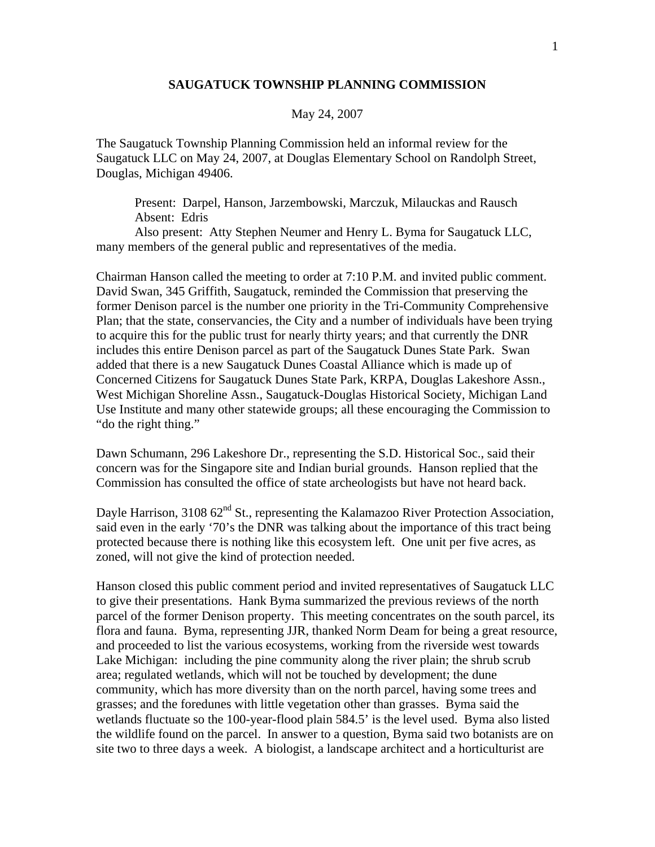## **SAUGATUCK TOWNSHIP PLANNING COMMISSION**

## May 24, 2007

The Saugatuck Township Planning Commission held an informal review for the Saugatuck LLC on May 24, 2007, at Douglas Elementary School on Randolph Street, Douglas, Michigan 49406.

 Present: Darpel, Hanson, Jarzembowski, Marczuk, Milauckas and Rausch Absent: Edris

 Also present: Atty Stephen Neumer and Henry L. Byma for Saugatuck LLC, many members of the general public and representatives of the media.

Chairman Hanson called the meeting to order at 7:10 P.M. and invited public comment. David Swan, 345 Griffith, Saugatuck, reminded the Commission that preserving the former Denison parcel is the number one priority in the Tri-Community Comprehensive Plan; that the state, conservancies, the City and a number of individuals have been trying to acquire this for the public trust for nearly thirty years; and that currently the DNR includes this entire Denison parcel as part of the Saugatuck Dunes State Park. Swan added that there is a new Saugatuck Dunes Coastal Alliance which is made up of Concerned Citizens for Saugatuck Dunes State Park, KRPA, Douglas Lakeshore Assn., West Michigan Shoreline Assn., Saugatuck-Douglas Historical Society, Michigan Land Use Institute and many other statewide groups; all these encouraging the Commission to "do the right thing."

Dawn Schumann, 296 Lakeshore Dr., representing the S.D. Historical Soc., said their concern was for the Singapore site and Indian burial grounds. Hanson replied that the Commission has consulted the office of state archeologists but have not heard back.

Dayle Harrison, 3108 62<sup>nd</sup> St., representing the Kalamazoo River Protection Association, said even in the early '70's the DNR was talking about the importance of this tract being protected because there is nothing like this ecosystem left. One unit per five acres, as zoned, will not give the kind of protection needed.

Hanson closed this public comment period and invited representatives of Saugatuck LLC to give their presentations. Hank Byma summarized the previous reviews of the north parcel of the former Denison property. This meeting concentrates on the south parcel, its flora and fauna. Byma, representing JJR, thanked Norm Deam for being a great resource, and proceeded to list the various ecosystems, working from the riverside west towards Lake Michigan: including the pine community along the river plain; the shrub scrub area; regulated wetlands, which will not be touched by development; the dune community, which has more diversity than on the north parcel, having some trees and grasses; and the foredunes with little vegetation other than grasses. Byma said the wetlands fluctuate so the 100-year-flood plain 584.5' is the level used. Byma also listed the wildlife found on the parcel. In answer to a question, Byma said two botanists are on site two to three days a week. A biologist, a landscape architect and a horticulturist are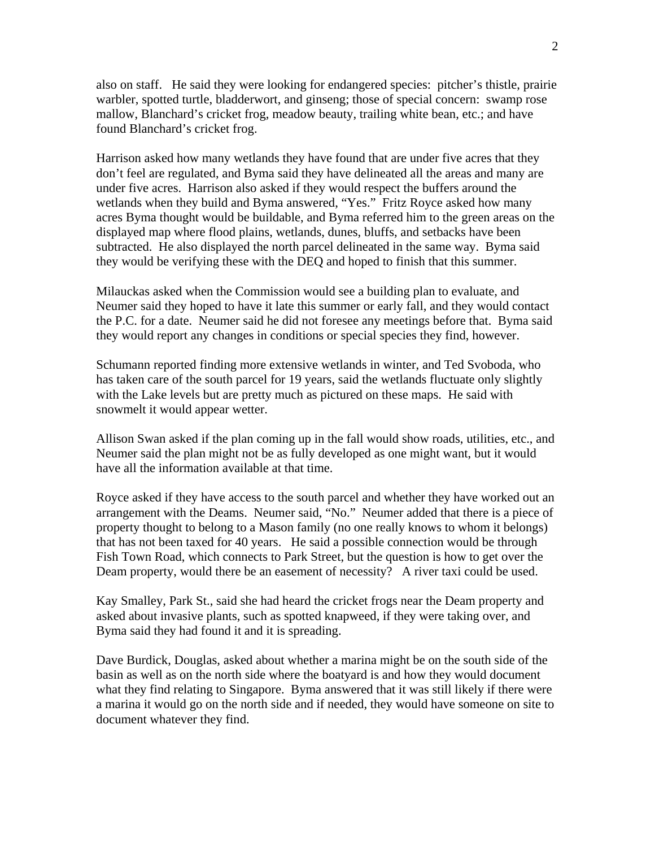also on staff. He said they were looking for endangered species: pitcher's thistle, prairie warbler, spotted turtle, bladderwort, and ginseng; those of special concern: swamp rose mallow, Blanchard's cricket frog, meadow beauty, trailing white bean, etc.; and have found Blanchard's cricket frog.

Harrison asked how many wetlands they have found that are under five acres that they don't feel are regulated, and Byma said they have delineated all the areas and many are under five acres. Harrison also asked if they would respect the buffers around the wetlands when they build and Byma answered, "Yes." Fritz Royce asked how many acres Byma thought would be buildable, and Byma referred him to the green areas on the displayed map where flood plains, wetlands, dunes, bluffs, and setbacks have been subtracted. He also displayed the north parcel delineated in the same way. Byma said they would be verifying these with the DEQ and hoped to finish that this summer.

Milauckas asked when the Commission would see a building plan to evaluate, and Neumer said they hoped to have it late this summer or early fall, and they would contact the P.C. for a date. Neumer said he did not foresee any meetings before that. Byma said they would report any changes in conditions or special species they find, however.

Schumann reported finding more extensive wetlands in winter, and Ted Svoboda, who has taken care of the south parcel for 19 years, said the wetlands fluctuate only slightly with the Lake levels but are pretty much as pictured on these maps. He said with snowmelt it would appear wetter.

Allison Swan asked if the plan coming up in the fall would show roads, utilities, etc., and Neumer said the plan might not be as fully developed as one might want, but it would have all the information available at that time.

Royce asked if they have access to the south parcel and whether they have worked out an arrangement with the Deams. Neumer said, "No." Neumer added that there is a piece of property thought to belong to a Mason family (no one really knows to whom it belongs) that has not been taxed for 40 years. He said a possible connection would be through Fish Town Road, which connects to Park Street, but the question is how to get over the Deam property, would there be an easement of necessity? A river taxi could be used.

Kay Smalley, Park St., said she had heard the cricket frogs near the Deam property and asked about invasive plants, such as spotted knapweed, if they were taking over, and Byma said they had found it and it is spreading.

Dave Burdick, Douglas, asked about whether a marina might be on the south side of the basin as well as on the north side where the boatyard is and how they would document what they find relating to Singapore. Byma answered that it was still likely if there were a marina it would go on the north side and if needed, they would have someone on site to document whatever they find.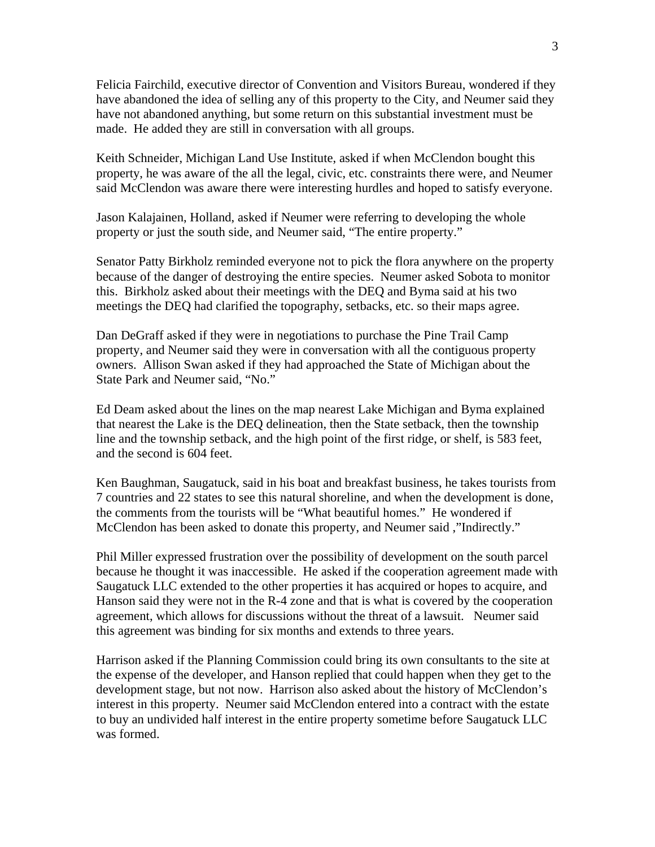Felicia Fairchild, executive director of Convention and Visitors Bureau, wondered if they have abandoned the idea of selling any of this property to the City, and Neumer said they have not abandoned anything, but some return on this substantial investment must be made. He added they are still in conversation with all groups.

Keith Schneider, Michigan Land Use Institute, asked if when McClendon bought this property, he was aware of the all the legal, civic, etc. constraints there were, and Neumer said McClendon was aware there were interesting hurdles and hoped to satisfy everyone.

Jason Kalajainen, Holland, asked if Neumer were referring to developing the whole property or just the south side, and Neumer said, "The entire property."

Senator Patty Birkholz reminded everyone not to pick the flora anywhere on the property because of the danger of destroying the entire species. Neumer asked Sobota to monitor this. Birkholz asked about their meetings with the DEQ and Byma said at his two meetings the DEQ had clarified the topography, setbacks, etc. so their maps agree.

Dan DeGraff asked if they were in negotiations to purchase the Pine Trail Camp property, and Neumer said they were in conversation with all the contiguous property owners. Allison Swan asked if they had approached the State of Michigan about the State Park and Neumer said, "No."

Ed Deam asked about the lines on the map nearest Lake Michigan and Byma explained that nearest the Lake is the DEQ delineation, then the State setback, then the township line and the township setback, and the high point of the first ridge, or shelf, is 583 feet, and the second is 604 feet.

Ken Baughman, Saugatuck, said in his boat and breakfast business, he takes tourists from 7 countries and 22 states to see this natural shoreline, and when the development is done, the comments from the tourists will be "What beautiful homes." He wondered if McClendon has been asked to donate this property, and Neumer said ,"Indirectly."

Phil Miller expressed frustration over the possibility of development on the south parcel because he thought it was inaccessible. He asked if the cooperation agreement made with Saugatuck LLC extended to the other properties it has acquired or hopes to acquire, and Hanson said they were not in the R-4 zone and that is what is covered by the cooperation agreement, which allows for discussions without the threat of a lawsuit. Neumer said this agreement was binding for six months and extends to three years.

Harrison asked if the Planning Commission could bring its own consultants to the site at the expense of the developer, and Hanson replied that could happen when they get to the development stage, but not now. Harrison also asked about the history of McClendon's interest in this property. Neumer said McClendon entered into a contract with the estate to buy an undivided half interest in the entire property sometime before Saugatuck LLC was formed.